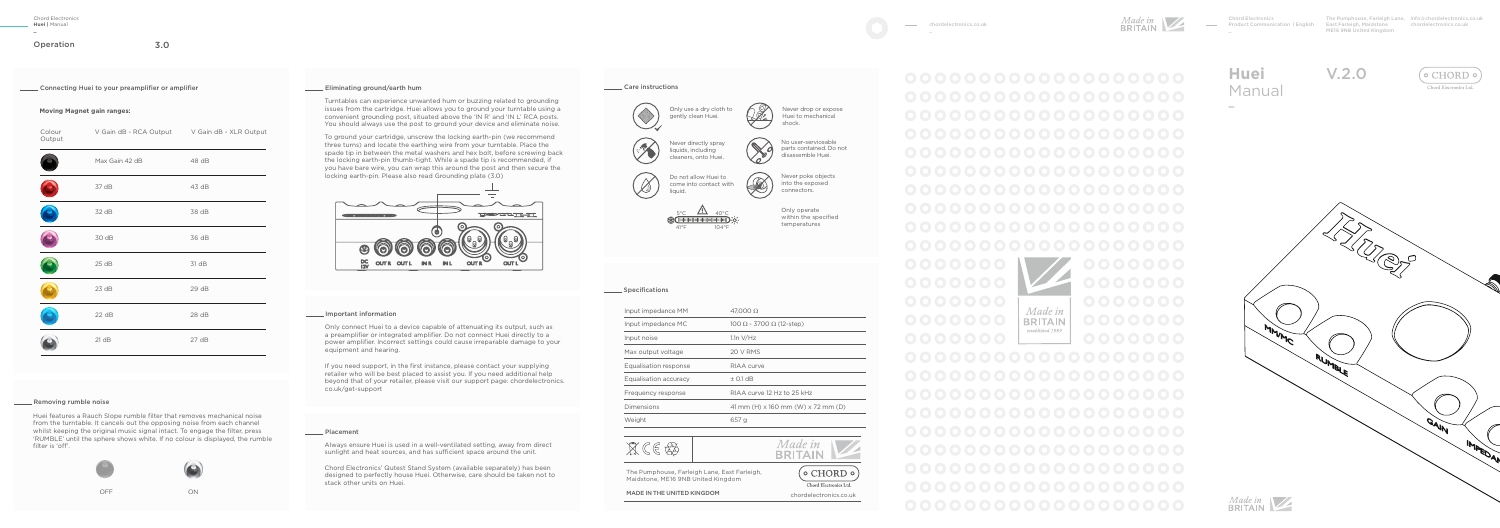The Pumphouse, Farleigh Lane, info@chordelectronics.co.uk East Farleigh, Maidstone ME16 9NB United Kingdom

chordelectronics.co.uk

 $($   $\circ$  CHORD  $\circ$ Though Electronics I





V.2.0



Chord Electronics Product Communication | English

Operation 3.0

**\_**

Connecting Huei to your preamplifier or amplifier

Turntables can experience unwanted hum or buzzing related to grounding issues from the cartridge. Huei allows you to ground your turntable using a convenient grounding post, situated above the 'IN R' and 'IN L' RCA posts. You should always use the post to ground your device and eliminate noise.

To ground your cartridge, unscrew the locking earth-pin (we recommend three turns) and locate the earthing wire from your turntable. Place the spade tip in between the metal washers and hex bolt, before screwing back the locking earth-pin thumb-tight. While a spade tip is recommended, if you have bare wire, you can wrap this around the post and then secure the locking earth-pin. Please also read Grounding plate (3.0)



#### Important information

Only connect Huei to a device capable of attenuating its output, such as a preamplifier or integrated amplifier. Do not connect Huei directly to a power amplifier. Incorrect settings could cause irreparable damage to your equipment and hearing.

If you need support, in the first instance, please contact your supplying retailer who will be best placed to assist you. If you need additional help beyond that of your retailer, please visit our support page: chordelectronics. co.uk/get-support

# **Moving Magnet gain ranges:**

| Colour<br>Output | V Gain dB - RCA Output V Gain dB - XLR Output |       |
|------------------|-----------------------------------------------|-------|
|                  | Max Gain 42 dB                                | 48 dB |
|                  | 37 dB                                         | 43 dB |
|                  | 32 dB                                         | 38 dB |
|                  | 30 dB                                         | 36 dB |
|                  | 25dB                                          | 31 dB |
|                  | 23 dB                                         | 29 dB |
|                  | 22 dB                                         | 28 dB |
|                  | 21 dB                                         | 27 dB |

### **EXECUTE:** Removing rumble noise

Huei features a Rauch Slope rumble filter that removes mechanical noise from the turntable. It cancels out the opposing noise from each channel whilst keeping the original music signal intact. To engage the filter, press 'RUMBLE' until the sphere shows white. If no colour is displayed, the rumble filter is 'off'.

 $\circ$ 



OFF ON

# Eliminating ground/earth hum

| Input impedance MM    | $47.000\,\Omega$                   |  |
|-----------------------|------------------------------------|--|
| Input impedance MC    | 100 Ω - 3700 Ω (12-step)           |  |
| Input noise           | $1.1n$ V/Hz                        |  |
| Max output voltage    | 20 V RMS                           |  |
| Equalisation response | RIAA curve                         |  |
| Equalisation accuracy | $±$ 0.1 dB                         |  |
| Frequency response    | RIAA curve 12 Hz to 25 kHz         |  |
| Dimensions            | 41 mm (H) x 160 mm (W) x 72 mm (D) |  |
| Weight                | 657 g                              |  |





# Placement

Always ensure Huei is used in a well-ventilated setting, away from direct sunlight and heat sources, and has sufficient space around the unit.

Chord Electronics' Qutest Stand System (available separately) has been designed to perfectly house Huei. Otherwise, care should be taken not to stack other units on Huei.

# Care instructions

Only operate within the specified temperatures

#### **Specifications**

Never drop or expose Huei to mechanical shock.



 $\mathscr{D}$ 



Never directly spray liquids, including cleaners, onto Huei.



No user-serviceable parts contained. Do not disassemble Huei.

Never poke objects into the exposed connectors.



The Pumphouse, Farleigh Lane, East Farleigh, Maidstone, ME16 9NB United Kingdom

MADE IN THE UNITED KINGDOM chordelectronics.co.uk

 $($   $\circ$  CHORD  $\circ$ Chord Electronics Ltd.

 $\sim$